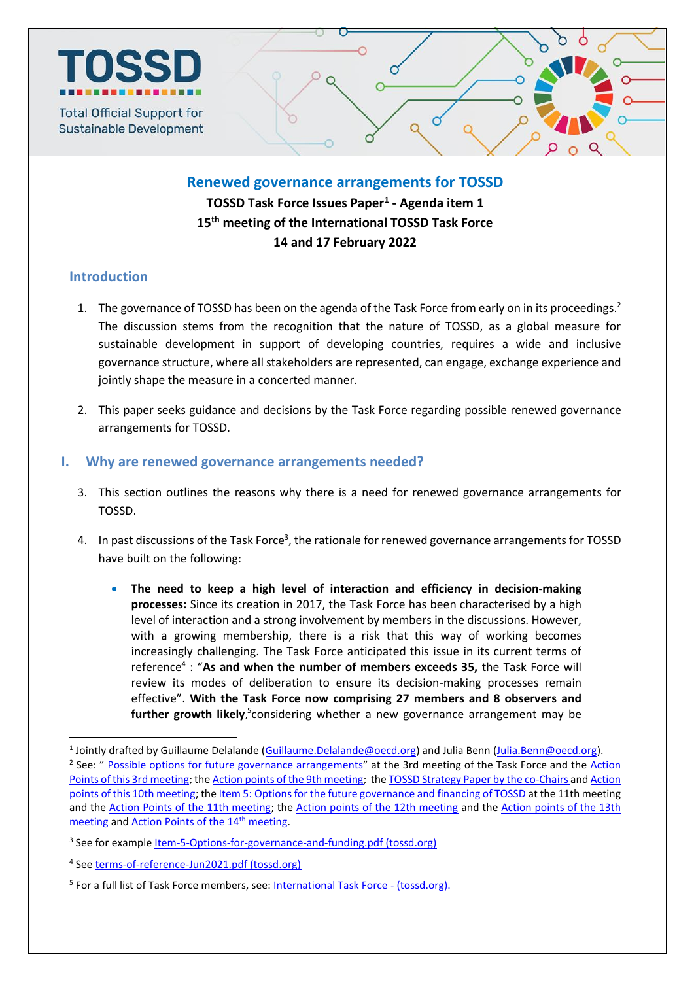

### **Renewed governance arrangements for TOSSD**

**TOSSD Task Force Issues Paper<sup>1</sup> - Agenda item 1 15 th meeting of the International TOSSD Task Force 14 and 17 February 2022**

## **Introduction**

 $\ddot{\phantom{a}}$ 

- 1. The governance of TOSSD has been on the agenda of the Task Force from early on in its proceedings.<sup>2</sup> The discussion stems from the recognition that the nature of TOSSD, as a global measure for sustainable development in support of developing countries, requires a wide and inclusive governance structure, where all stakeholders are represented, can engage, exchange experience and jointly shape the measure in a concerted manner.
- 2. This paper seeks guidance and decisions by the Task Force regarding possible renewed governance arrangements for TOSSD.

### **I. Why are renewed governance arrangements needed?**

- 3. This section outlines the reasons why there is a need for renewed governance arrangements for TOSSD.
- 4. In past discussions of the Task Force<sup>3</sup>, the rationale for renewed governance arrangements for TOSSD have built on the following:
	- **The need to keep a high level of interaction and efficiency in decision-making processes:** Since its creation in 2017, the Task Force has been characterised by a high level of interaction and a strong involvement by members in the discussions. However, with a growing membership, there is a risk that this way of working becomes increasingly challenging. The Task Force anticipated this issue in its current terms of reference<sup>4</sup> : "As and when the number of members exceeds 35, the Task Force will review its modes of deliberation to ensure its decision-making processes remain effective". **With the Task Force now comprising 27 members and 8 observers and**  further growth likely,<sup>5</sup>considering whether a new governance arrangement may be

<sup>&</sup>lt;sup>1</sup> Jointly drafted by Guillaume Delalande (*Guillaume.Delalande@oecd.org*) and Julia Benn [\(Julia.Benn@oecd.org\)](mailto:Julia.Benn@oecd.org). <sup>2</sup> See: " [Possible options for future governance arrangements](http://www.oecd.org/dac/financing-sustainable-development/development-finance-standards/TOSSD-Third-Task-Force-Item6.pdf)" at the 3rd meeting of the Task Force and the Action [Points of this 3rd meeting;](http://www.oecd.org/dac/financing-sustainable-development/development-finance-standards/TOSSD%20Task%20Force%20Action%20Points%20-%203rdTask%20force%20meeting.pdf) th[e Action points of the 9th meeting;](http://www.oecd.org/dac/financing-sustainable-development/development-finance-standards/9th-TOSSD-TF-Meeting-%20Action-Points.pdf) th[e TOSSD Strategy Paper by the co-Chairs](https://www.tossd.org/docs/strategy-paper-by-co-chairs.pdf) and Action [points of this 10th meeting;](http://www.oecd.org/dac/tossd/2020-04-20-10th-TOSSD-TF-Meeting-Action-Point.pdf) the Item 5: [Options for the future governance and financing of TOSSD](https://www.tossd.org/docs/Item-5-Options-for-governance-and-funding.pdf) at the 11th meeting and the [Action Points of the 11th meeting;](https://www.tossd.org/docs/2020-12-18-11th-TOSSD-TF-Meeting-Action-Points-final.pdf) the [Action points of the 12th meeting](https://www.tossd.org/docs/12th-tossd-meeting-action-points.pdf) and the Action points of the 13th [meeting](https://www.tossd.org/docs/13th_TOSSD_TF_Meeting_Action_Points.pdf) and [Action Points of the 14](https://www.tossd.org/docs/14th%20TOSSD%20TF%20Meeting-Action-Points_final.pdf)<sup>th</sup> meeting.

<sup>&</sup>lt;sup>3</sup> See for example <u>Item-5-Options-for-governance-and-funding.pdf (tossd.org)</u>

<sup>&</sup>lt;sup>4</sup> See [terms-of-reference-Jun2021.pdf \(tossd.org\)](https://www.tossd.org/docs/terms-of-reference-Jun2021.pdf)

<sup>&</sup>lt;sup>5</sup> For a full list of Task Force members, see: **International Task Force - (tossd.org).**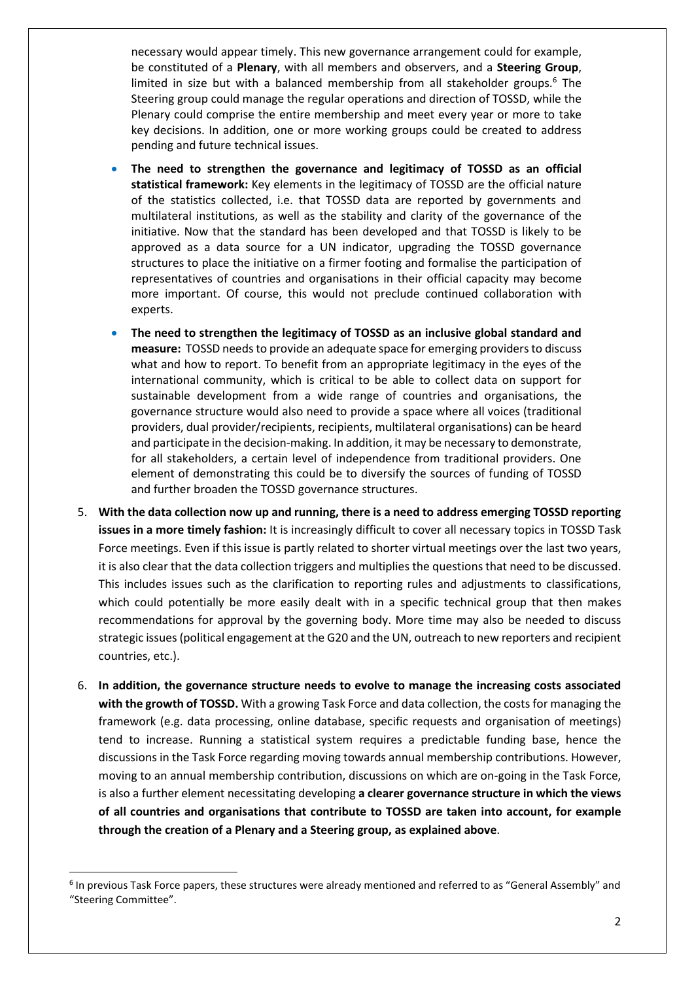necessary would appear timely. This new governance arrangement could for example, be constituted of a **Plenary**, with all members and observers, and a **Steering Group**, limited in size but with a balanced membership from all stakeholder groups.<sup>6</sup> The Steering group could manage the regular operations and direction of TOSSD, while the Plenary could comprise the entire membership and meet every year or more to take key decisions. In addition, one or more working groups could be created to address pending and future technical issues.

- **The need to strengthen the governance and legitimacy of TOSSD as an official statistical framework:** Key elements in the legitimacy of TOSSD are the official nature of the statistics collected, i.e. that TOSSD data are reported by governments and multilateral institutions, as well as the stability and clarity of the governance of the initiative. Now that the standard has been developed and that TOSSD is likely to be approved as a data source for a UN indicator, upgrading the TOSSD governance structures to place the initiative on a firmer footing and formalise the participation of representatives of countries and organisations in their official capacity may become more important. Of course, this would not preclude continued collaboration with experts.
- **The need to strengthen the legitimacy of TOSSD as an inclusive global standard and**  measure: TOSSD needs to provide an adequate space for emerging providers to discuss what and how to report. To benefit from an appropriate legitimacy in the eyes of the international community, which is critical to be able to collect data on support for sustainable development from a wide range of countries and organisations, the governance structure would also need to provide a space where all voices (traditional providers, dual provider/recipients, recipients, multilateral organisations) can be heard and participate in the decision-making. In addition, it may be necessary to demonstrate, for all stakeholders, a certain level of independence from traditional providers. One element of demonstrating this could be to diversify the sources of funding of TOSSD and further broaden the TOSSD governance structures.
- 5. **With the data collection now up and running, there is a need to address emerging TOSSD reporting issues in a more timely fashion:** It is increasingly difficult to cover all necessary topics in TOSSD Task Force meetings. Even if this issue is partly related to shorter virtual meetings over the last two years, it is also clear that the data collection triggers and multiplies the questions that need to be discussed. This includes issues such as the clarification to reporting rules and adjustments to classifications, which could potentially be more easily dealt with in a specific technical group that then makes recommendations for approval by the governing body. More time may also be needed to discuss strategic issues (political engagement at the G20 and the UN, outreach to new reporters and recipient countries, etc.).
- 6. **In addition, the governance structure needs to evolve to manage the increasing costs associated with the growth of TOSSD.** With a growing Task Force and data collection, the costs for managing the framework (e.g. data processing, online database, specific requests and organisation of meetings) tend to increase. Running a statistical system requires a predictable funding base, hence the discussions in the Task Force regarding moving towards annual membership contributions. However, moving to an annual membership contribution, discussions on which are on-going in the Task Force, is also a further element necessitating developing **a clearer governance structure in which the views of all countries and organisations that contribute to TOSSD are taken into account, for example through the creation of a Plenary and a Steering group, as explained above**.

 $\ddot{\phantom{a}}$ 

<sup>&</sup>lt;sup>6</sup> In previous Task Force papers, these structures were already mentioned and referred to as "General Assembly" and "Steering Committee".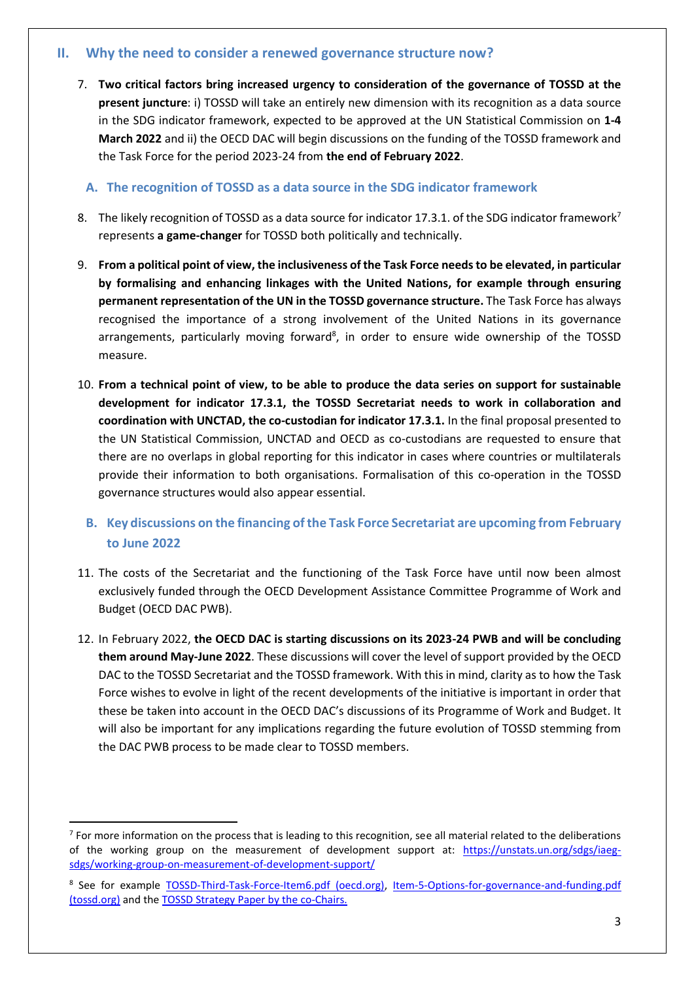### **II. Why the need to consider a renewed governance structure now?**

7. **Two critical factors bring increased urgency to consideration of the governance of TOSSD at the present juncture**: i) TOSSD will take an entirely new dimension with its recognition as a data source in the SDG indicator framework, expected to be approved at the UN Statistical Commission on **1-4 March 2022** and ii) the OECD DAC will begin discussions on the funding of the TOSSD framework and the Task Force for the period 2023-24 from **the end of February 2022**.

**A. The recognition of TOSSD as a data source in the SDG indicator framework**

- 8. The likely recognition of TOSSD as a data source for indicator 17.3.1. of the SDG indicator framework<sup>7</sup> represents **a game-changer** for TOSSD both politically and technically.
- 9. **From a political point of view, the inclusiveness of the Task Force needsto be elevated, in particular by formalising and enhancing linkages with the United Nations, for example through ensuring permanent representation of the UN in the TOSSD governance structure.** The Task Force has always recognised the importance of a strong involvement of the United Nations in its governance arrangements, particularly moving forward<sup>8</sup>, in order to ensure wide ownership of the TOSSD measure.
- 10. **From a technical point of view, to be able to produce the data series on support for sustainable development for indicator 17.3.1, the TOSSD Secretariat needs to work in collaboration and coordination with UNCTAD, the co-custodian for indicator 17.3.1.** In the final proposal presented to the UN Statistical Commission, UNCTAD and OECD as co-custodians are requested to ensure that there are no overlaps in global reporting for this indicator in cases where countries or multilaterals provide their information to both organisations. Formalisation of this co-operation in the TOSSD governance structures would also appear essential.

# **B. Key discussions on the financing of the Task Force Secretariat are upcoming from February to June 2022**

- 11. The costs of the Secretariat and the functioning of the Task Force have until now been almost exclusively funded through the OECD Development Assistance Committee Programme of Work and Budget (OECD DAC PWB).
- 12. In February 2022, **the OECD DAC is starting discussions on its 2023-24 PWB and will be concluding them around May-June 2022**. These discussions will cover the level of support provided by the OECD DAC to the TOSSD Secretariat and the TOSSD framework. With this in mind, clarity as to how the Task Force wishes to evolve in light of the recent developments of the initiative is important in order that these be taken into account in the OECD DAC's discussions of its Programme of Work and Budget. It will also be important for any implications regarding the future evolution of TOSSD stemming from the DAC PWB process to be made clear to TOSSD members.

1

 $7$  For more information on the process that is leading to this recognition, see all material related to the deliberations of the working group on the measurement of development support at: [https://unstats.un.org/sdgs/iaeg](https://unstats.un.org/sdgs/iaeg-sdgs/working-group-on-measurement-of-development-support/)[sdgs/working-group-on-measurement-of-development-support/](https://unstats.un.org/sdgs/iaeg-sdgs/working-group-on-measurement-of-development-support/)

<sup>&</sup>lt;sup>8</sup> See for example [TOSSD-Third-Task-Force-Item6.pdf \(oecd.org\),](https://www.oecd.org/dac/financing-sustainable-development/development-finance-standards/TOSSD-Third-Task-Force-Item6.pdf) Item-5-Options-for-governance-and-funding.pdf [\(tossd.org\)](https://www.tossd.org/docs/Item-5-Options-for-governance-and-funding.pdf) and the [TOSSD Strategy Paper by the](https://www.tossd.org/docs/strategy-paper-by-co-chairs.pdf) co-Chairs.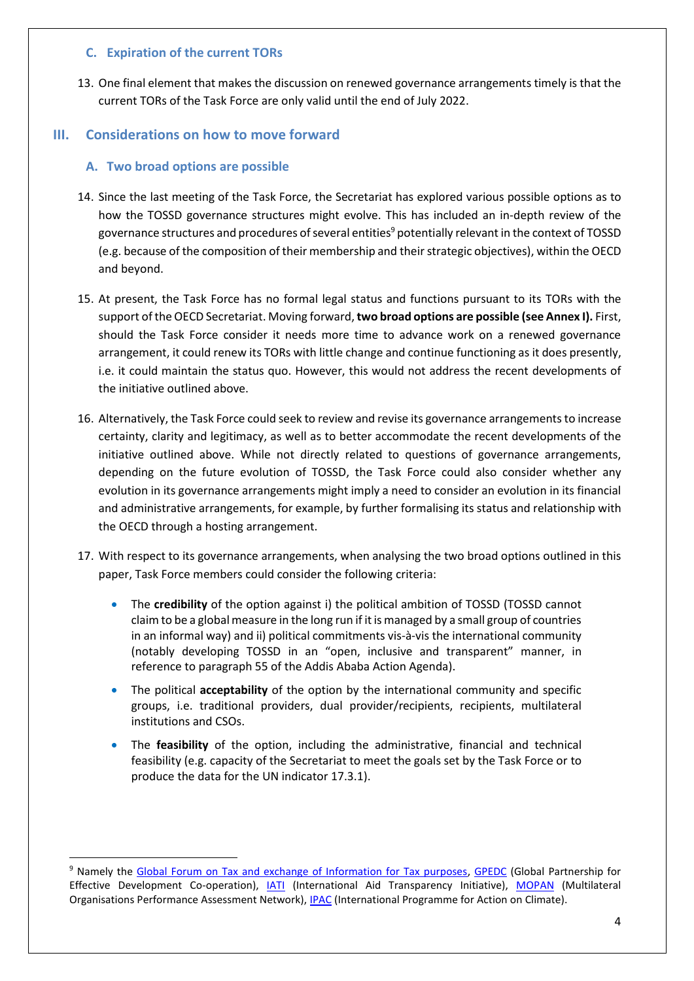### **C. Expiration of the current TORs**

13. One final element that makes the discussion on renewed governance arrangements timely is that the current TORs of the Task Force are only valid until the end of July 2022.

### **III. Considerations on how to move forward**

#### **A. Two broad options are possible**

 $\overline{a}$ 

- 14. Since the last meeting of the Task Force, the Secretariat has explored various possible options as to how the TOSSD governance structures might evolve. This has included an in-depth review of the governance structures and procedures of several entities<sup>9</sup> potentially relevant in the context of TOSSD (e.g. because of the composition of their membership and their strategic objectives), within the OECD and beyond.
- 15. At present, the Task Force has no formal legal status and functions pursuant to its TORs with the support of the OECD Secretariat. Moving forward, **two broad options are possible (see Annex I).** First, should the Task Force consider it needs more time to advance work on a renewed governance arrangement, it could renew its TORs with little change and continue functioning as it does presently, i.e. it could maintain the status quo. However, this would not address the recent developments of the initiative outlined above.
- 16. Alternatively, the Task Force could seek to review and revise its governance arrangements to increase certainty, clarity and legitimacy, as well as to better accommodate the recent developments of the initiative outlined above. While not directly related to questions of governance arrangements, depending on the future evolution of TOSSD, the Task Force could also consider whether any evolution in its governance arrangements might imply a need to consider an evolution in its financial and administrative arrangements, for example, by further formalising its status and relationship with the OECD through a hosting arrangement.
- 17. With respect to its governance arrangements, when analysing the two broad options outlined in this paper, Task Force members could consider the following criteria:
	- The **credibility** of the option against i) the political ambition of TOSSD (TOSSD cannot claim to be a global measure in the long run if it is managed by a small group of countries in an informal way) and ii) political commitments vis-à-vis the international community (notably developing TOSSD in an "open, inclusive and transparent" manner, in reference to paragraph 55 of the Addis Ababa Action Agenda).
	- The political **acceptability** of the option by the international community and specific groups, i.e. traditional providers, dual provider/recipients, recipients, multilateral institutions and CSOs.
	- The **feasibility** of the option, including the administrative, financial and technical feasibility (e.g. capacity of the Secretariat to meet the goals set by the Task Force or to produce the data for the UN indicator 17.3.1).

<sup>&</sup>lt;sup>9</sup> Namely the [Global Forum on Tax and exchange of Information for Tax purposes,](https://www.oecd.org/tax/transparency/) [GPEDC](https://www.effectivecooperation.org/) (Global Partnership for Effective Development Co-operation), *[IATI](https://iatistandard.org/en/)* (International Aid Transparency Initiative), [MOPAN](https://www.mopanonline.org/) (Multilateral Organisations Performance Assessment Network), [IPAC](https://www.oecd.org/climate-action/ipac/about) (International Programme for Action on Climate).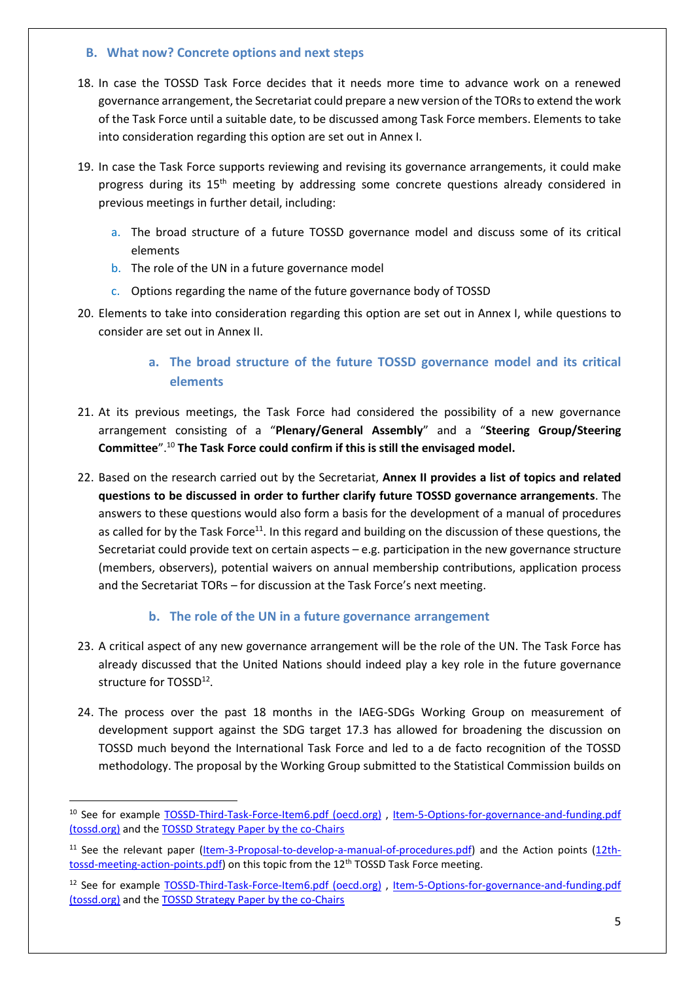### **B. What now? Concrete options and next steps**

- 18. In case the TOSSD Task Force decides that it needs more time to advance work on a renewed governance arrangement, the Secretariat could prepare a new version of the TORs to extend the work of the Task Force until a suitable date, to be discussed among Task Force members. Elements to take into consideration regarding this option are set out in Annex I.
- 19. In case the Task Force supports reviewing and revising its governance arrangements, it could make progress during its 15<sup>th</sup> meeting by addressing some concrete questions already considered in previous meetings in further detail, including:
	- a. The broad structure of a future TOSSD governance model and discuss some of its critical elements
	- b. The role of the UN in a future governance model
	- c. Options regarding the name of the future governance body of TOSSD
- 20. Elements to take into consideration regarding this option are set out in Annex I, while questions to consider are set out in Annex II.

# **a. The broad structure of the future TOSSD governance model and its critical elements**

- 21. At its previous meetings, the Task Force had considered the possibility of a new governance arrangement consisting of a "**Plenary/General Assembly**" and a "**Steering Group/Steering Committee**".<sup>10</sup> **The Task Force could confirm if this is still the envisaged model.**
- 22. Based on the research carried out by the Secretariat, **Annex II provides a list of topics and related questions to be discussed in order to further clarify future TOSSD governance arrangements**. The answers to these questions would also form a basis for the development of a manual of procedures as called for by the Task Force<sup>11</sup>. In this regard and building on the discussion of these questions, the Secretariat could provide text on certain aspects – e.g. participation in the new governance structure (members, observers), potential waivers on annual membership contributions, application process and the Secretariat TORs – for discussion at the Task Force's next meeting.

### **b. The role of the UN in a future governance arrangement**

- 23. A critical aspect of any new governance arrangement will be the role of the UN. The Task Force has already discussed that the United Nations should indeed play a key role in the future governance structure for TOSSD<sup>12</sup>.
- 24. The process over the past 18 months in the IAEG-SDGs Working Group on measurement of development support against the SDG target 17.3 has allowed for broadening the discussion on TOSSD much beyond the International Task Force and led to a de facto recognition of the TOSSD methodology. The proposal by the Working Group submitted to the Statistical Commission builds on

 $\ddot{\phantom{a}}$ 

<sup>&</sup>lt;sup>10</sup> See for example [TOSSD-Third-Task-Force-Item6.pdf \(oecd.org\)](https://www.oecd.org/dac/financing-sustainable-development/development-finance-standards/TOSSD-Third-Task-Force-Item6.pdf), Item-5-Options-for-governance-and-funding.pdf [\(tossd.org\)](https://www.tossd.org/docs/Item-5-Options-for-governance-and-funding.pdf) and the [TOSSD Strategy Paper by the co-Chairs](https://www.tossd.org/docs/strategy-paper-by-co-chairs.pdf)

<sup>&</sup>lt;sup>11</sup> See the relevant paper [\(Item-3-Proposal-to-develop-a-manual-of-procedures.pdf\)](https://www.tossd.org/docs/Item-3-Proposal-to-develop-a-manual-of-procedures.pdf) and the Action points [\(12th](https://www.tossd.org/docs/12th-tossd-meeting-action-points.pdf)[tossd-meeting-action-points.pdf\)](https://www.tossd.org/docs/12th-tossd-meeting-action-points.pdf) on this topic from the 12<sup>th</sup> TOSSD Task Force meeting.

<sup>&</sup>lt;sup>12</sup> See for example [TOSSD-Third-Task-Force-Item6.pdf \(oecd.org\)](https://www.oecd.org/dac/financing-sustainable-development/development-finance-standards/TOSSD-Third-Task-Force-Item6.pdf), Item-5-Options-for-governance-and-funding.pdf [\(tossd.org\)](https://www.tossd.org/docs/Item-5-Options-for-governance-and-funding.pdf) and the [TOSSD Strategy Paper by the co-Chairs](https://www.tossd.org/docs/strategy-paper-by-co-chairs.pdf)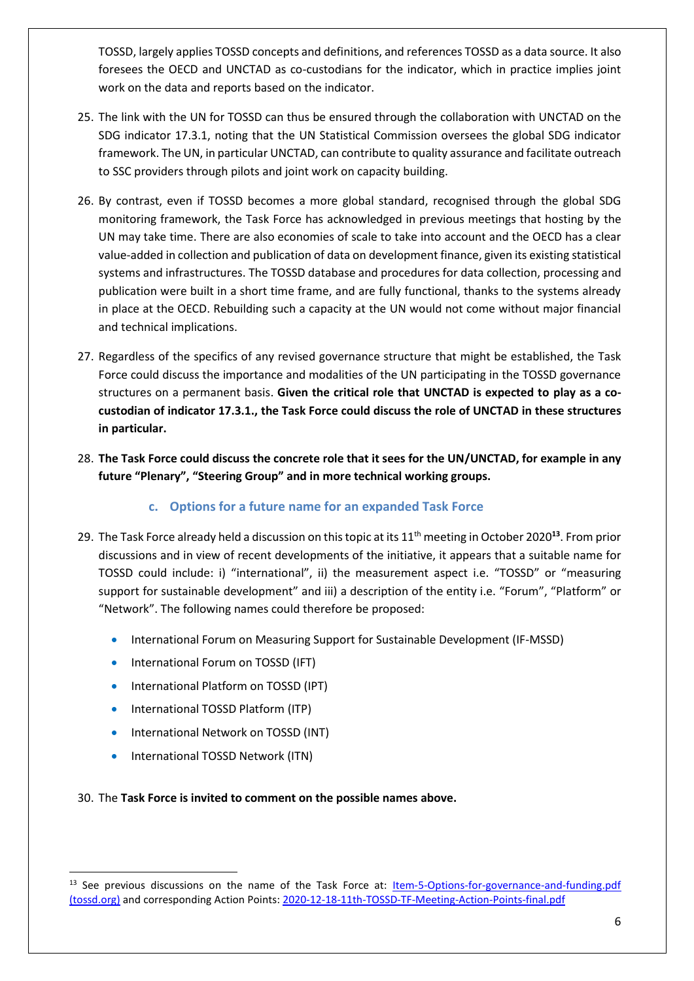TOSSD, largely applies TOSSD concepts and definitions, and references TOSSD as a data source. It also foresees the OECD and UNCTAD as co-custodians for the indicator, which in practice implies joint work on the data and reports based on the indicator.

- 25. The link with the UN for TOSSD can thus be ensured through the collaboration with UNCTAD on the SDG indicator 17.3.1, noting that the UN Statistical Commission oversees the global SDG indicator framework. The UN, in particular UNCTAD, can contribute to quality assurance and facilitate outreach to SSC providers through pilots and joint work on capacity building.
- 26. By contrast, even if TOSSD becomes a more global standard, recognised through the global SDG monitoring framework, the Task Force has acknowledged in previous meetings that hosting by the UN may take time. There are also economies of scale to take into account and the OECD has a clear value-added in collection and publication of data on development finance, given its existing statistical systems and infrastructures. The TOSSD database and procedures for data collection, processing and publication were built in a short time frame, and are fully functional, thanks to the systems already in place at the OECD. Rebuilding such a capacity at the UN would not come without major financial and technical implications.
- 27. Regardless of the specifics of any revised governance structure that might be established, the Task Force could discuss the importance and modalities of the UN participating in the TOSSD governance structures on a permanent basis. **Given the critical role that UNCTAD is expected to play as a cocustodian of indicator 17.3.1., the Task Force could discuss the role of UNCTAD in these structures in particular.**
- 28. **The Task Force could discuss the concrete role that it sees for the UN/UNCTAD, for example in any future "Plenary", "Steering Group" and in more technical working groups.**

## **c. Options for a future name for an expanded Task Force**

- 29. The Task Force already held a discussion on this topic at its 11th meeting in October 2020**<sup>13</sup>** . From prior discussions and in view of recent developments of the initiative, it appears that a suitable name for TOSSD could include: i) "international", ii) the measurement aspect i.e. "TOSSD" or "measuring support for sustainable development" and iii) a description of the entity i.e. "Forum", "Platform" or "Network". The following names could therefore be proposed:
	- **International Forum on Measuring Support for Sustainable Development (IF-MSSD)**
	- International Forum on TOSSD (IFT)
	- International Platform on TOSSD (IPT)
	- International TOSSD Platform (ITP)
	- **•** International Network on TOSSD (INT)
	- International TOSSD Network (ITN)

## 30. The **Task Force is invited to comment on the possible names above.**

 $\ddot{\phantom{a}}$ <sup>13</sup> See previous discussions on the name of the Task Force at: Item-5-Options-for-governance-and-funding.pdf [\(tossd.org\)](https://www.tossd.org/docs/Item-5-Options-for-governance-and-funding.pdf) and corresponding Action Points[: 2020-12-18-11th-TOSSD-TF-Meeting-Action-Points-final.pdf](https://www.tossd.org/docs/2020-12-18-11th-TOSSD-TF-Meeting-Action-Points-final.pdf)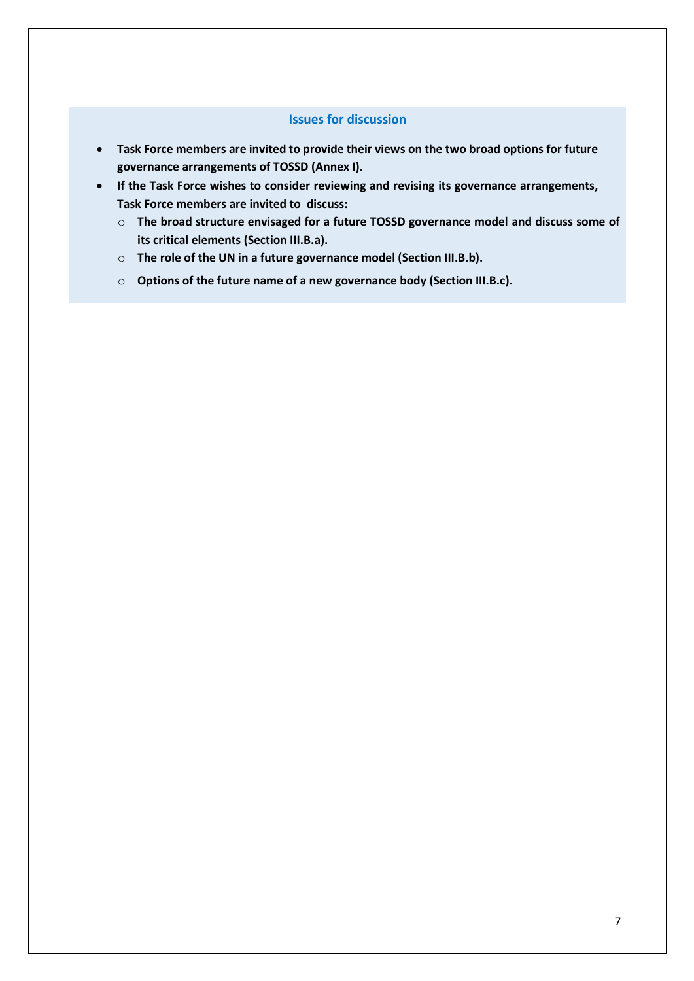#### **Issues for discussion**

- **Task Force members are invited to provide their views on the two broad options for future governance arrangements of TOSSD (Annex I).**
- **If the Task Force wishes to consider reviewing and revising its governance arrangements, Task Force members are invited to discuss:**
	- o **The broad structure envisaged for a future TOSSD governance model and discuss some of its critical elements (Section III.B.a).**
	- o **The role of the UN in a future governance model (Section III.B.b).**
	- o **Options of the future name of a new governance body (Section III.B.c).**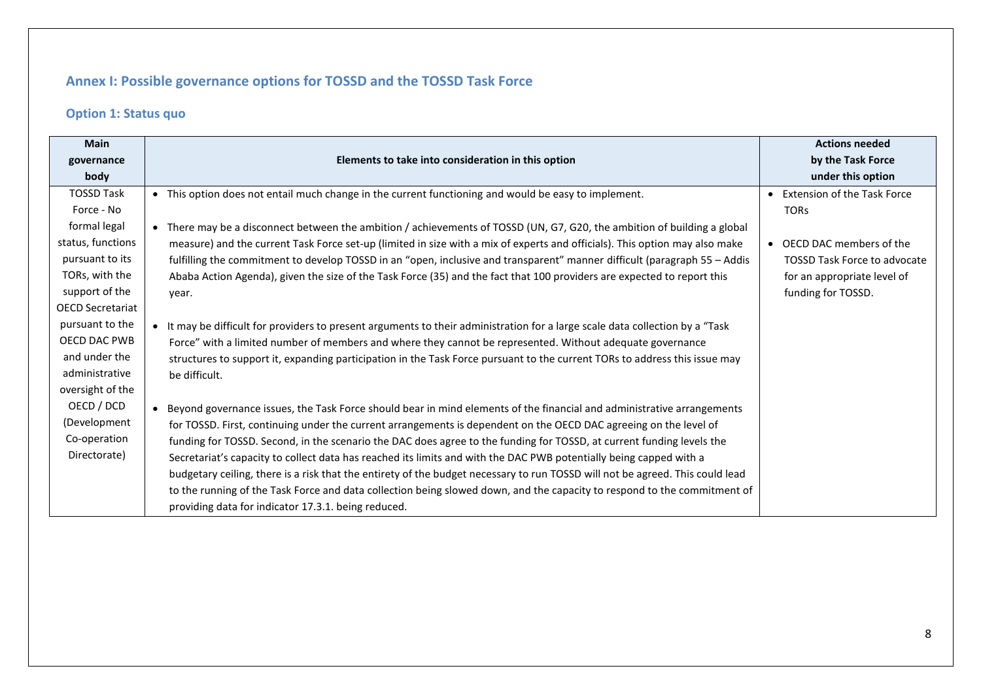# **Annex I: Possible governance options for TOSSD and the TOSSD Task Force**

# **Option 1: Status quo**

| <b>Main</b>             |                                                                                                                                     | <b>Actions needed</b>               |
|-------------------------|-------------------------------------------------------------------------------------------------------------------------------------|-------------------------------------|
| governance              | Elements to take into consideration in this option                                                                                  | by the Task Force                   |
| body                    |                                                                                                                                     | under this option                   |
| <b>TOSSD Task</b>       | • This option does not entail much change in the current functioning and would be easy to implement.                                | • Extension of the Task Force       |
| Force - No              |                                                                                                                                     | <b>TORs</b>                         |
| formal legal            | There may be a disconnect between the ambition / achievements of TOSSD (UN, G7, G20, the ambition of building a global<br>$\bullet$ |                                     |
| status, functions       | measure) and the current Task Force set-up (limited in size with a mix of experts and officials). This option may also make         | • OECD DAC members of the           |
| pursuant to its         | fulfilling the commitment to develop TOSSD in an "open, inclusive and transparent" manner difficult (paragraph 55 - Addis           | <b>TOSSD Task Force to advocate</b> |
| TORs, with the          | Ababa Action Agenda), given the size of the Task Force (35) and the fact that 100 providers are expected to report this             | for an appropriate level of         |
| support of the          | year.                                                                                                                               | funding for TOSSD.                  |
| <b>OECD Secretariat</b> |                                                                                                                                     |                                     |
| pursuant to the         | • It may be difficult for providers to present arguments to their administration for a large scale data collection by a "Task       |                                     |
| <b>OECD DAC PWB</b>     | Force" with a limited number of members and where they cannot be represented. Without adequate governance                           |                                     |
| and under the           | structures to support it, expanding participation in the Task Force pursuant to the current TORs to address this issue may          |                                     |
| administrative          | be difficult.                                                                                                                       |                                     |
| oversight of the        |                                                                                                                                     |                                     |
| OECD / DCD              | Beyond governance issues, the Task Force should bear in mind elements of the financial and administrative arrangements              |                                     |
| (Development            | for TOSSD. First, continuing under the current arrangements is dependent on the OECD DAC agreeing on the level of                   |                                     |
| Co-operation            | funding for TOSSD. Second, in the scenario the DAC does agree to the funding for TOSSD, at current funding levels the               |                                     |
| Directorate)            | Secretariat's capacity to collect data has reached its limits and with the DAC PWB potentially being capped with a                  |                                     |
|                         | budgetary ceiling, there is a risk that the entirety of the budget necessary to run TOSSD will not be agreed. This could lead       |                                     |
|                         | to the running of the Task Force and data collection being slowed down, and the capacity to respond to the commitment of            |                                     |
|                         | providing data for indicator 17.3.1. being reduced.                                                                                 |                                     |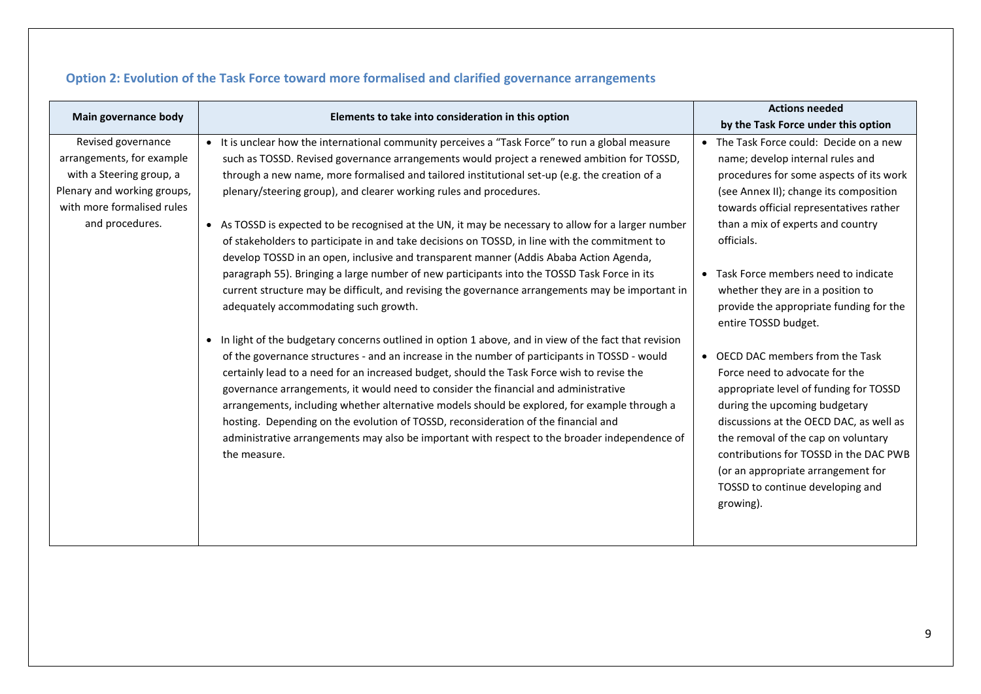| Main governance body                                                                                                                                        |                                                                                                                                                                                                                                                                                                                                                                                                                                                                                                                                                                                                                                                                                                                                                                                                                                                                                                                     | <b>Actions needed</b>                                                                                                                                                                                                                                                                                                                                                                    |
|-------------------------------------------------------------------------------------------------------------------------------------------------------------|---------------------------------------------------------------------------------------------------------------------------------------------------------------------------------------------------------------------------------------------------------------------------------------------------------------------------------------------------------------------------------------------------------------------------------------------------------------------------------------------------------------------------------------------------------------------------------------------------------------------------------------------------------------------------------------------------------------------------------------------------------------------------------------------------------------------------------------------------------------------------------------------------------------------|------------------------------------------------------------------------------------------------------------------------------------------------------------------------------------------------------------------------------------------------------------------------------------------------------------------------------------------------------------------------------------------|
|                                                                                                                                                             | Elements to take into consideration in this option                                                                                                                                                                                                                                                                                                                                                                                                                                                                                                                                                                                                                                                                                                                                                                                                                                                                  | by the Task Force under this option                                                                                                                                                                                                                                                                                                                                                      |
| Revised governance<br>arrangements, for example<br>with a Steering group, a<br>Plenary and working groups,<br>with more formalised rules<br>and procedures. | • It is unclear how the international community perceives a "Task Force" to run a global measure<br>such as TOSSD. Revised governance arrangements would project a renewed ambition for TOSSD,<br>through a new name, more formalised and tailored institutional set-up (e.g. the creation of a<br>plenary/steering group), and clearer working rules and procedures.<br>• As TOSSD is expected to be recognised at the UN, it may be necessary to allow for a larger number<br>of stakeholders to participate in and take decisions on TOSSD, in line with the commitment to<br>develop TOSSD in an open, inclusive and transparent manner (Addis Ababa Action Agenda,<br>paragraph 55). Bringing a large number of new participants into the TOSSD Task Force in its<br>current structure may be difficult, and revising the governance arrangements may be important in<br>adequately accommodating such growth. | • The Task Force could: Decide on a new<br>name; develop internal rules and<br>procedures for some aspects of its work<br>(see Annex II); change its composition<br>towards official representatives rather<br>than a mix of experts and country<br>officials.<br>• Task Force members need to indicate<br>whether they are in a position to<br>provide the appropriate funding for the  |
|                                                                                                                                                             | • In light of the budgetary concerns outlined in option 1 above, and in view of the fact that revision<br>of the governance structures - and an increase in the number of participants in TOSSD - would<br>certainly lead to a need for an increased budget, should the Task Force wish to revise the<br>governance arrangements, it would need to consider the financial and administrative<br>arrangements, including whether alternative models should be explored, for example through a<br>hosting. Depending on the evolution of TOSSD, reconsideration of the financial and<br>administrative arrangements may also be important with respect to the broader independence of<br>the measure.                                                                                                                                                                                                                 | entire TOSSD budget.<br>• OECD DAC members from the Task<br>Force need to advocate for the<br>appropriate level of funding for TOSSD<br>during the upcoming budgetary<br>discussions at the OECD DAC, as well as<br>the removal of the cap on voluntary<br>contributions for TOSSD in the DAC PWB<br>(or an appropriate arrangement for<br>TOSSD to continue developing and<br>growing). |

# **Option 2: Evolution of the Task Force toward more formalised and clarified governance arrangements**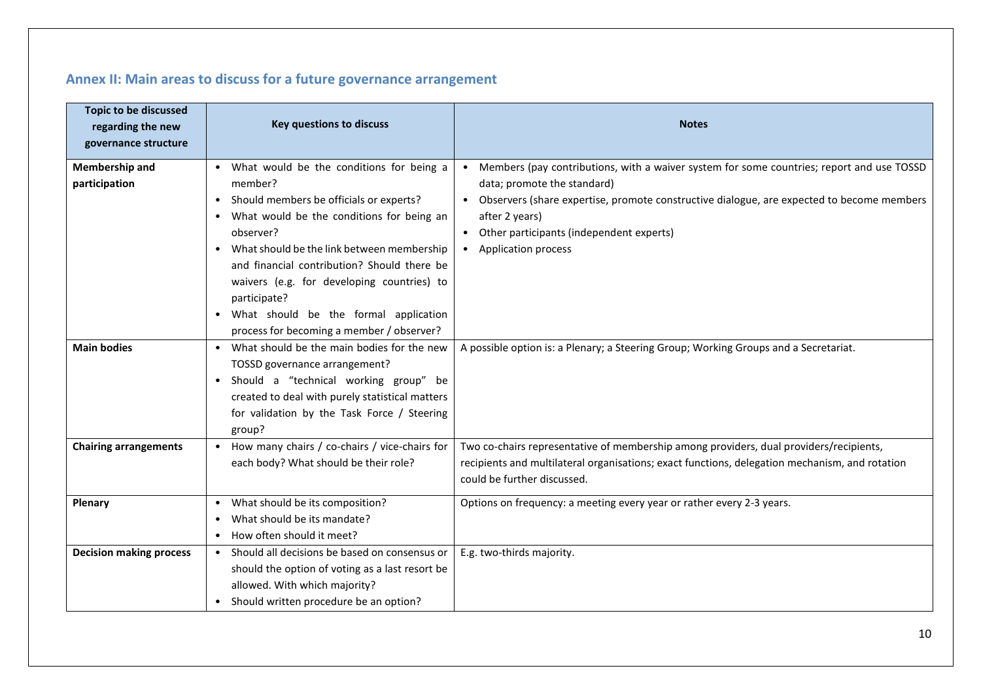# **Annex II: Main areas to discuss for a future governance arrangement**

| <b>Topic to be discussed</b><br>regarding the new<br>governance structure | Key questions to discuss                                                                                                                                                                                                                                                                                                                                                                                                                           | <b>Notes</b>                                                                                                                                                                                                                                                                                                                                  |
|---------------------------------------------------------------------------|----------------------------------------------------------------------------------------------------------------------------------------------------------------------------------------------------------------------------------------------------------------------------------------------------------------------------------------------------------------------------------------------------------------------------------------------------|-----------------------------------------------------------------------------------------------------------------------------------------------------------------------------------------------------------------------------------------------------------------------------------------------------------------------------------------------|
| Membership and<br>participation                                           | • What would be the conditions for being a<br>member?<br>Should members be officials or experts?<br>$\bullet$<br>What would be the conditions for being an<br>$\bullet$<br>observer?<br>What should be the link between membership<br>$\bullet$<br>and financial contribution? Should there be<br>waivers (e.g. for developing countries) to<br>participate?<br>What should be the formal application<br>process for becoming a member / observer? | Members (pay contributions, with a waiver system for some countries; report and use TOSSD<br>$\bullet$<br>data; promote the standard)<br>• Observers (share expertise, promote constructive dialogue, are expected to become members<br>after 2 years)<br>Other participants (independent experts)<br>$\bullet$<br><b>Application process</b> |
| <b>Main bodies</b>                                                        | What should be the main bodies for the new<br>$\bullet$<br>TOSSD governance arrangement?<br>Should a "technical working group" be<br>$\bullet$<br>created to deal with purely statistical matters<br>for validation by the Task Force / Steering<br>group?                                                                                                                                                                                         | A possible option is: a Plenary; a Steering Group; Working Groups and a Secretariat.                                                                                                                                                                                                                                                          |
| <b>Chairing arrangements</b>                                              | How many chairs / co-chairs / vice-chairs for<br>$\bullet$<br>each body? What should be their role?                                                                                                                                                                                                                                                                                                                                                | Two co-chairs representative of membership among providers, dual providers/recipients,<br>recipients and multilateral organisations; exact functions, delegation mechanism, and rotation<br>could be further discussed.                                                                                                                       |
| <b>Plenary</b>                                                            | What should be its composition?<br>$\bullet$<br>What should be its mandate?<br>How often should it meet?<br>$\bullet$                                                                                                                                                                                                                                                                                                                              | Options on frequency: a meeting every year or rather every 2-3 years.                                                                                                                                                                                                                                                                         |
| <b>Decision making process</b>                                            | Should all decisions be based on consensus or<br>$\bullet$<br>should the option of voting as a last resort be<br>allowed. With which majority?<br>Should written procedure be an option?                                                                                                                                                                                                                                                           | E.g. two-thirds majority.                                                                                                                                                                                                                                                                                                                     |